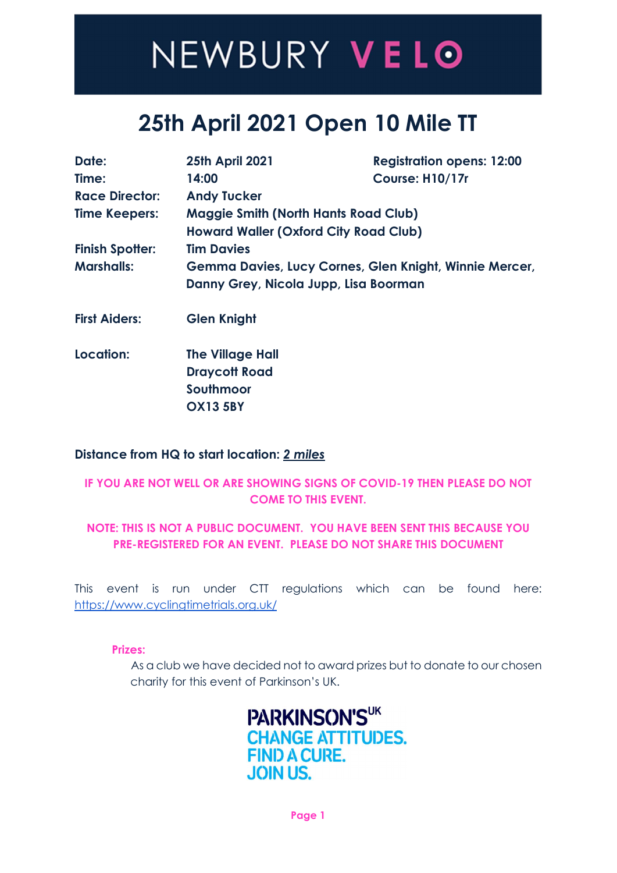### 25th April 2021 Open 10 Mile TT

| Date:                  | <b>25th April 2021</b>                       | <b>Registration opens: 12:00</b>                       |  |  |  |  |  |
|------------------------|----------------------------------------------|--------------------------------------------------------|--|--|--|--|--|
| Time:                  | 14:00                                        | Course: H10/17r                                        |  |  |  |  |  |
| <b>Race Director:</b>  | <b>Andy Tucker</b>                           |                                                        |  |  |  |  |  |
| <b>Time Keepers:</b>   | <b>Maggie Smith (North Hants Road Club)</b>  |                                                        |  |  |  |  |  |
|                        | <b>Howard Waller (Oxford City Road Club)</b> |                                                        |  |  |  |  |  |
| <b>Finish Spotter:</b> | <b>Tim Davies</b>                            |                                                        |  |  |  |  |  |
| <b>Marshalls:</b>      |                                              | Gemma Davies, Lucy Cornes, Glen Knight, Winnie Mercer, |  |  |  |  |  |
|                        | Danny Grey, Nicola Jupp, Lisa Boorman        |                                                        |  |  |  |  |  |
|                        |                                              |                                                        |  |  |  |  |  |

- First Aiders: Glen Knight
- Location: The Village Hall Draycott Road Southmoor OX13 5BY

### Distance from HQ to start location: 2 miles

### IF YOU ARE NOT WELL OR ARE SHOWING SIGNS OF COVID-19 THEN PLEASE DO NOT COME TO THIS EVENT.

### NOTE: THIS IS NOT A PUBLIC DOCUMENT. YOU HAVE BEEN SENT THIS BECAUSE YOU PRE-REGISTERED FOR AN EVENT. PLEASE DO NOT SHARE THIS DOCUMENT

This event is run under CTT regulations which can be found here: https://www.cyclingtimetrials.org.uk/

Prizes:

 As a club we have decided not to award prizes but to donate to our chosen charity for this event of Parkinson's UK.

> PARKINSON'SUK **CHANGE ATTITUDES. FIND A CURE. JOIN US.**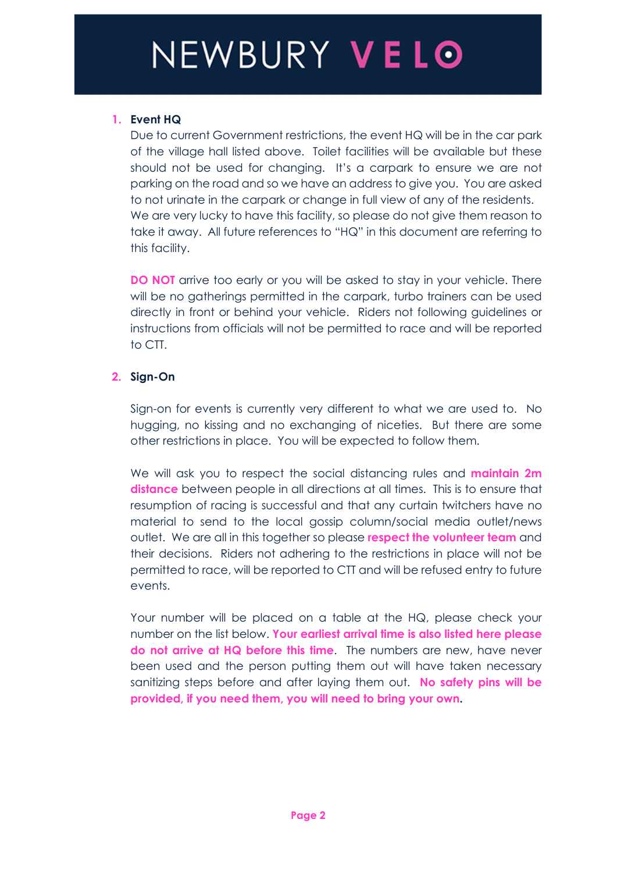### 1. Event HQ

Due to current Government restrictions, the event HQ will be in the car park of the village hall listed above. Toilet facilities will be available but these should not be used for changing. It's a carpark to ensure we are not parking on the road and so we have an address to give you. You are asked to not urinate in the carpark or change in full view of any of the residents. We are very lucky to have this facility, so please do not give them reason to take it away. All future references to "HQ" in this document are referring to this facility.

DO NOT arrive too early or you will be asked to stay in your vehicle. There will be no gatherings permitted in the carpark, turbo trainers can be used directly in front or behind your vehicle. Riders not following guidelines or instructions from officials will not be permitted to race and will be reported to CTT.

### 2. Sign-On

Sign-on for events is currently very different to what we are used to. No hugging, no kissing and no exchanging of niceties. But there are some other restrictions in place. You will be expected to follow them.

We will ask you to respect the social distancing rules and **maintain 2m** distance between people in all directions at all times. This is to ensure that resumption of racing is successful and that any curtain twitchers have no material to send to the local gossip column/social media outlet/news outlet. We are all in this together so please respect the volunteer team and their decisions. Riders not adhering to the restrictions in place will not be permitted to race, will be reported to CTT and will be refused entry to future events.

 Your number will be placed on a table at the HQ, please check your number on the list below. Your earliest arrival time is also listed here please do not arrive at HQ before this time. The numbers are new, have never been used and the person putting them out will have taken necessary sanitizing steps before and after laying them out. No safety pins will be provided, if you need them, you will need to bring your own.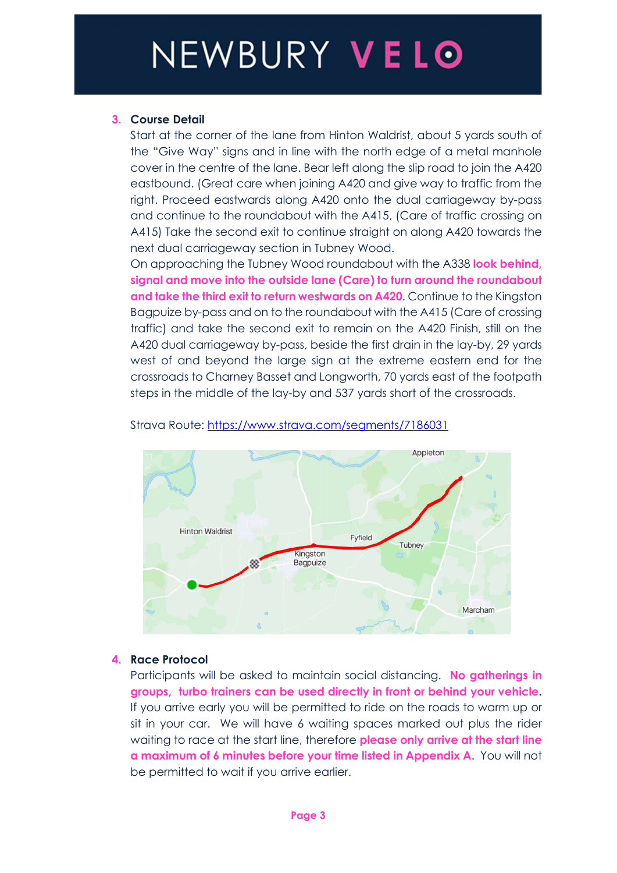### 3. Course Detail

Start at the corner of the lane from Hinton Waldrist, about 5 yards south of the "Give Way" signs and in line with the north edge of a metal manhole cover in the centre of the lane. Bear left along the slip road to join the A420 eastbound. (Great care when joining A420 and give way to traffic from the right. Proceed eastwards along A420 onto the dual carriageway by-pass and continue to the roundabout with the A415, (Care of traffic crossing on A415) Take the second exit to continue straight on along A420 towards the next dual carriageway section in Tubney Wood.

On approaching the Tubney Wood roundabout with the A338 look behind, signal and move into the outside lane (Care) to turn around the roundabout and take the third exit to return westwards on A420. Continue to the Kingston Bagpuize by-pass and on to the roundabout with the A415 (Care of crossing traffic) and take the second exit to remain on the A420 Finish, still on the A420 dual carriageway by-pass, beside the first drain in the lay-by, 29 yards west of and beyond the large sign at the extreme eastern end for the crossroads to Charney Basset and Longworth, 70 yards east of the footpath steps in the middle of the lay-by and 537 yards short of the crossroads.



Strava Route: https://www.strava.com/segments/7186031

### 4. Race Protocol

Participants will be asked to maintain social distancing. No gatherings in groups, turbo trainers can be used directly in front or behind your vehicle. If you arrive early you will be permitted to ride on the roads to warm up or sit in your car. We will have 6 waiting spaces marked out plus the rider waiting to race at the start line, therefore **please only arrive at the start line** a maximum of 6 minutes before your time listed in Appendix A. You will not be permitted to wait if you arrive earlier.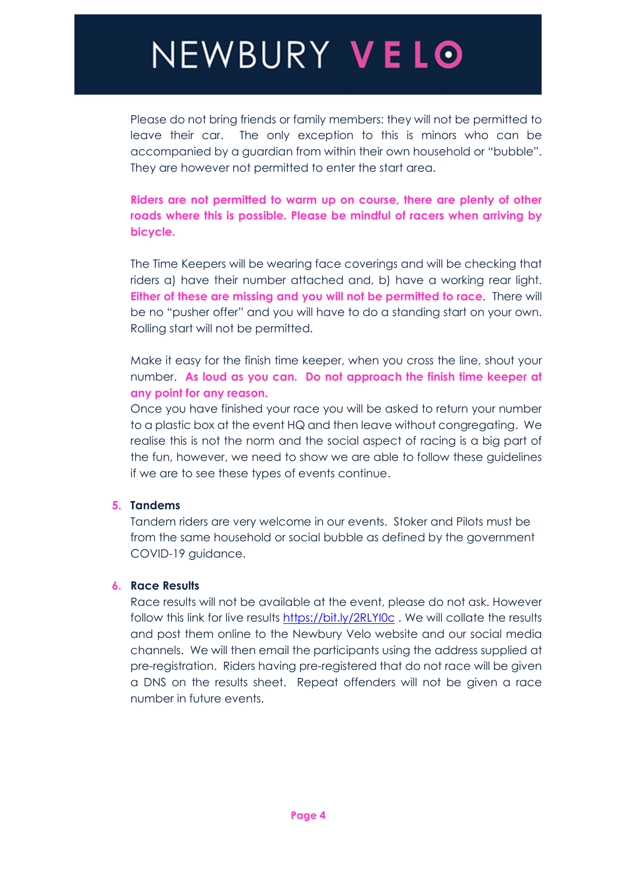Please do not bring friends or family members: they will not be permitted to leave their car. The only exception to this is minors who can be accompanied by a guardian from within their own household or "bubble". They are however not permitted to enter the start area.

Riders are not permitted to warm up on course, there are plenty of other roads where this is possible. Please be mindful of racers when arriving by bicycle.

 The Time Keepers will be wearing face coverings and will be checking that riders a) have their number attached and, b) have a working rear light. Either of these are missing and you will not be permitted to race. There will be no "pusher offer" and you will have to do a standing start on your own. Rolling start will not be permitted.

Make it easy for the finish time keeper, when you cross the line, shout your number. As loud as you can. Do not approach the finish time keeper at any point for any reason.

 Once you have finished your race you will be asked to return your number to a plastic box at the event HQ and then leave without congregating. We realise this is not the norm and the social aspect of racing is a big part of the fun, however, we need to show we are able to follow these guidelines if we are to see these types of events continue.

#### 5. Tandems

Tandem riders are very welcome in our events. Stoker and Pilots must be from the same household or social bubble as defined by the government COVID-19 guidance.

#### 6. Race Results

Race results will not be available at the event, please do not ask. However follow this link for live results https://bit.ly/2RLYI0c. We will collate the results and post them online to the Newbury Velo website and our social media channels. We will then email the participants using the address supplied at pre-registration. Riders having pre-registered that do not race will be given a DNS on the results sheet. Repeat offenders will not be given a race number in future events.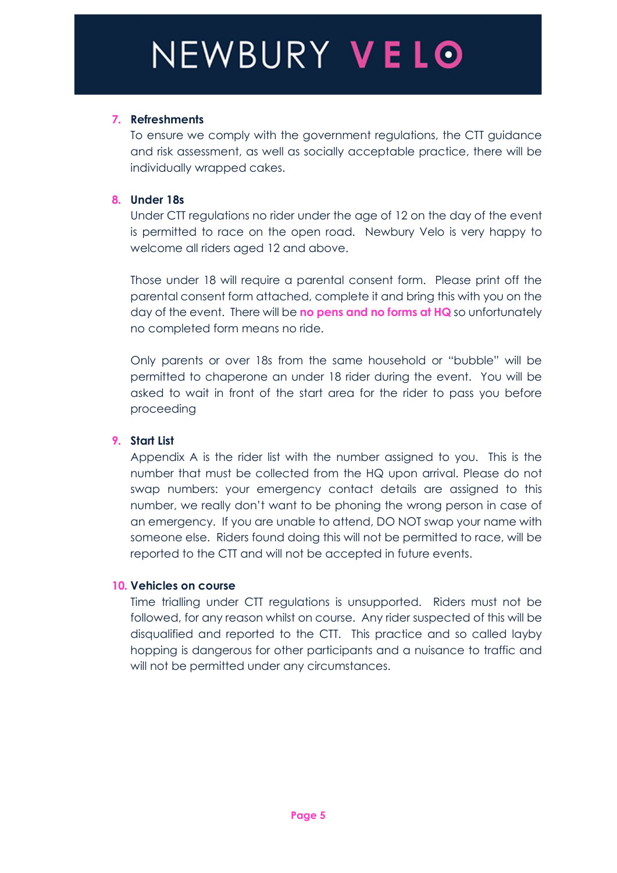### 7. Refreshments

To ensure we comply with the government regulations, the CTT guidance and risk assessment, as well as socially acceptable practice, there will be individually wrapped cakes.

#### 8. Under 18s

Under CTT regulations no rider under the age of 12 on the day of the event is permitted to race on the open road. Newbury Velo is very happy to welcome all riders aged 12 and above.

 Those under 18 will require a parental consent form. Please print off the parental consent form attached, complete it and bring this with you on the day of the event. There will be no pens and no forms at HQ so unfortunately no completed form means no ride.

Only parents or over 18s from the same household or "bubble" will be permitted to chaperone an under 18 rider during the event. You will be asked to wait in front of the start area for the rider to pass you before proceeding

#### 9. Start List

 Appendix A is the rider list with the number assigned to you. This is the number that must be collected from the HQ upon arrival. Please do not swap numbers: your emergency contact details are assigned to this number, we really don't want to be phoning the wrong person in case of an emergency. If you are unable to attend, DO NOT swap your name with someone else. Riders found doing this will not be permitted to race, will be reported to the CTT and will not be accepted in future events.

#### 10. Vehicles on course

Time trialling under CTT regulations is unsupported. Riders must not be followed, for any reason whilst on course. Any rider suspected of this will be disqualified and reported to the CTT. This practice and so called layby hopping is dangerous for other participants and a nuisance to traffic and will not be permitted under any circumstances.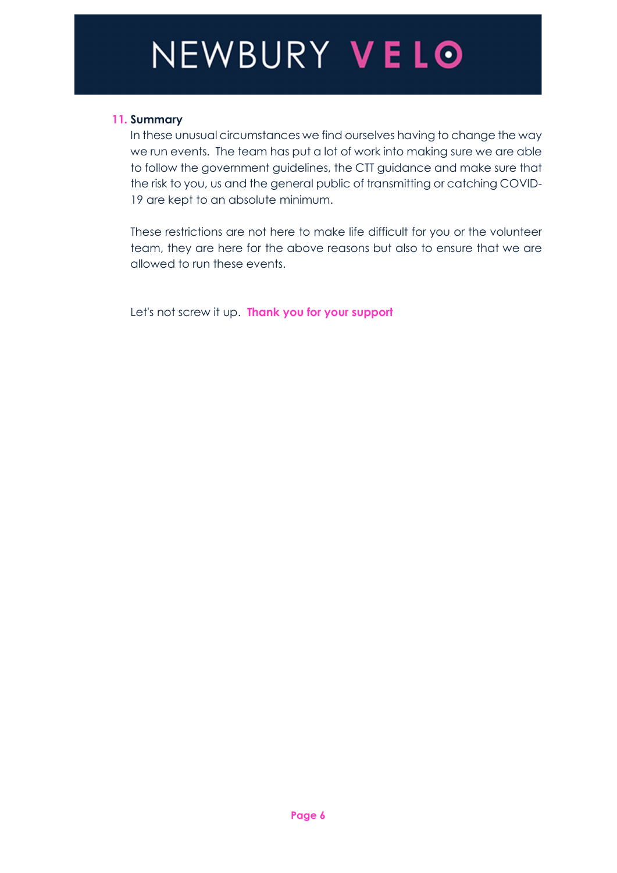### 11. Summary

In these unusual circumstances we find ourselves having to change the way we run events. The team has put a lot of work into making sure we are able to follow the government guidelines, the CTT guidance and make sure that the risk to you, us and the general public of transmitting or catching COVID-19 are kept to an absolute minimum.

 These restrictions are not here to make life difficult for you or the volunteer team, they are here for the above reasons but also to ensure that we are allowed to run these events.

Let's not screw it up. Thank you for your support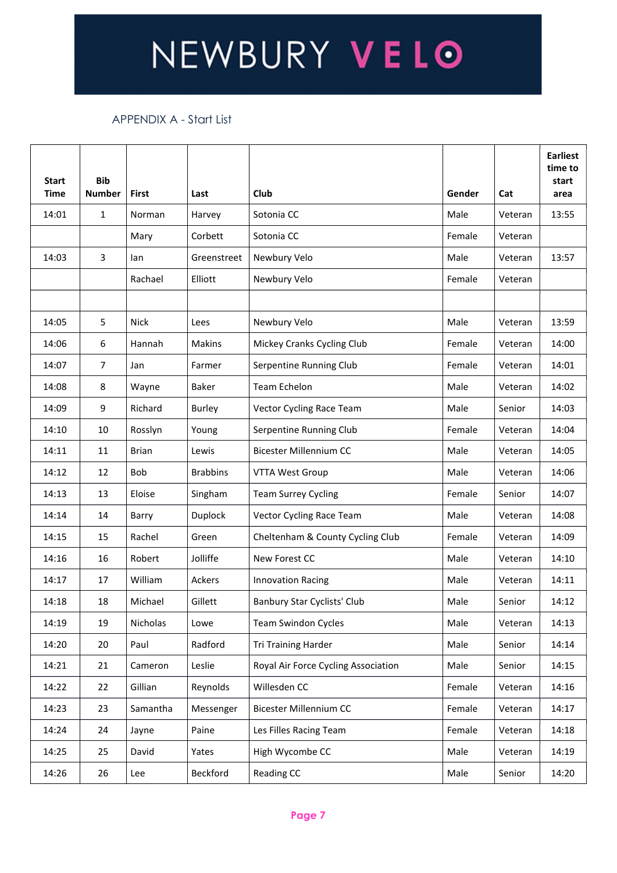#### APPENDIX A - Start List

| <b>Start</b><br><b>Time</b> | <b>Bib</b><br><b>Number</b> | First        | Last            | Club                                | Gender | Cat     | <b>Earliest</b><br>time to<br>start<br>area |
|-----------------------------|-----------------------------|--------------|-----------------|-------------------------------------|--------|---------|---------------------------------------------|
| 14:01                       | $\mathbf{1}$                | Norman       | Harvey          | Sotonia CC                          | Male   | Veteran | 13:55                                       |
|                             |                             | Mary         | Corbett         | Sotonia CC                          | Female | Veteran |                                             |
| 14:03                       | 3                           | lan          | Greenstreet     | Newbury Velo                        | Male   | Veteran | 13:57                                       |
|                             |                             | Rachael      | Elliott         | Newbury Velo                        | Female | Veteran |                                             |
|                             |                             |              |                 |                                     |        |         |                                             |
| 14:05                       | 5                           | <b>Nick</b>  | Lees            | Newbury Velo                        | Male   | Veteran | 13:59                                       |
| 14:06                       | 6                           | Hannah       | Makins          | Mickey Cranks Cycling Club          | Female | Veteran | 14:00                                       |
| 14:07                       | 7 <sup>7</sup>              | Jan          | Farmer          | Serpentine Running Club             | Female | Veteran | 14:01                                       |
| 14:08                       | 8                           | Wayne        | Baker           | <b>Team Echelon</b>                 | Male   | Veteran | 14:02                                       |
| 14:09                       | 9                           | Richard      | Burley          | Vector Cycling Race Team            | Male   | Senior  | 14:03                                       |
| 14:10                       | 10                          | Rosslyn      | Young           | Serpentine Running Club             | Female | Veteran | 14:04                                       |
| 14:11                       | 11                          | <b>Brian</b> | Lewis           | Bicester Millennium CC              | Male   | Veteran | 14:05                                       |
| 14:12                       | 12                          | Bob          | <b>Brabbins</b> | VTTA West Group                     | Male   | Veteran | 14:06                                       |
| 14:13                       | 13                          | Eloise       | Singham         | <b>Team Surrey Cycling</b>          | Female | Senior  | 14:07                                       |
| 14:14                       | 14                          | Barry        | Duplock         | Vector Cycling Race Team            | Male   | Veteran | 14:08                                       |
| 14:15                       | 15                          | Rachel       | Green           | Cheltenham & County Cycling Club    | Female | Veteran | 14:09                                       |
| 14:16                       | 16                          | Robert       | Jolliffe        | New Forest CC                       | Male   | Veteran | 14:10                                       |
| 14:17                       | 17                          | William      | Ackers          | <b>Innovation Racing</b>            | Male   | Veteran | 14:11                                       |
| 14:18                       | 18                          | Michael      | Gillett         | Banbury Star Cyclists' Club         | Male   | Senior  | 14:12                                       |
| 14:19                       | 19                          | Nicholas     | Lowe            | <b>Team Swindon Cycles</b>          | Male   | Veteran | 14:13                                       |
| 14:20                       | 20                          | Paul         | Radford         | Tri Training Harder                 | Male   | Senior  | 14:14                                       |
| 14:21                       | 21                          | Cameron      | Leslie          | Royal Air Force Cycling Association | Male   | Senior  | 14:15                                       |
| 14:22                       | 22                          | Gillian      | Reynolds        | Willesden CC                        | Female | Veteran | 14:16                                       |
| 14:23                       | 23                          | Samantha     | Messenger       | <b>Bicester Millennium CC</b>       | Female | Veteran | 14:17                                       |
| 14:24                       | 24                          | Jayne        | Paine           | Les Filles Racing Team              | Female | Veteran | 14:18                                       |
| 14:25                       | 25                          | David        | Yates           | High Wycombe CC                     | Male   | Veteran | 14:19                                       |
| 14:26                       | 26                          | Lee          | Beckford        | Reading CC                          | Male   | Senior  | 14:20                                       |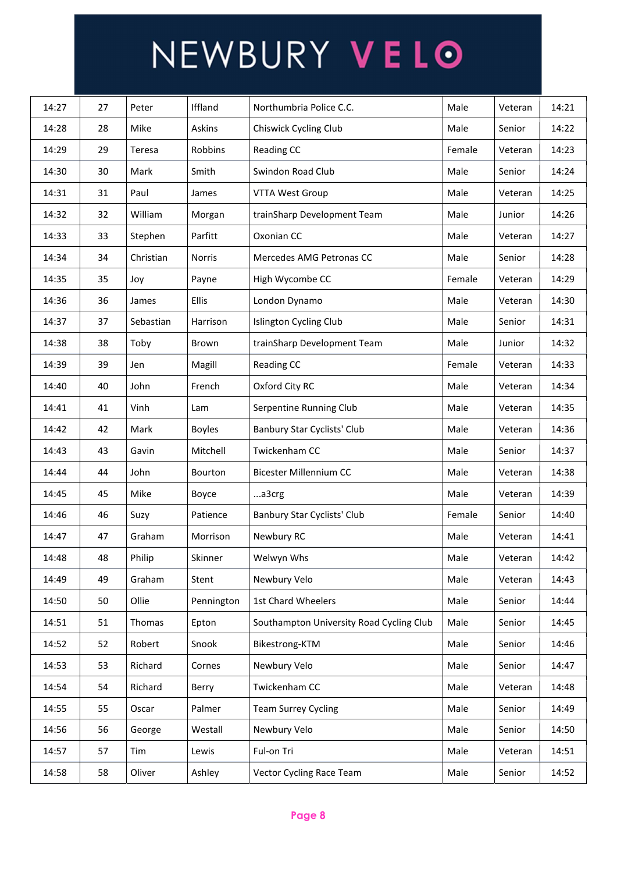| 14:27 | 27 | Peter     | Iffland       | Northumbria Police C.C.                  | Male   | Veteran | 14:21 |
|-------|----|-----------|---------------|------------------------------------------|--------|---------|-------|
| 14:28 | 28 | Mike      | Askins        | Chiswick Cycling Club                    | Male   | Senior  | 14:22 |
| 14:29 | 29 | Teresa    | Robbins       | Reading CC                               | Female | Veteran | 14:23 |
| 14:30 | 30 | Mark      | Smith         | Swindon Road Club                        | Male   | Senior  | 14:24 |
| 14:31 | 31 | Paul      | James         | <b>VTTA West Group</b>                   | Male   | Veteran | 14:25 |
| 14:32 | 32 | William   | Morgan        | trainSharp Development Team              | Male   | Junior  | 14:26 |
| 14:33 | 33 | Stephen   | Parfitt       | Oxonian CC                               | Male   | Veteran | 14:27 |
| 14:34 | 34 | Christian | Norris        | Mercedes AMG Petronas CC                 | Male   | Senior  | 14:28 |
| 14:35 | 35 | Joy       | Payne         | High Wycombe CC                          | Female | Veteran | 14:29 |
| 14:36 | 36 | James     | Ellis         | London Dynamo                            | Male   | Veteran | 14:30 |
| 14:37 | 37 | Sebastian | Harrison      | Islington Cycling Club                   | Male   | Senior  | 14:31 |
| 14:38 | 38 | Toby      | Brown         | trainSharp Development Team              | Male   | Junior  | 14:32 |
| 14:39 | 39 | Jen       | Magill        | Reading CC                               | Female | Veteran | 14:33 |
| 14:40 | 40 | John      | French        | Oxford City RC                           | Male   | Veteran | 14:34 |
| 14:41 | 41 | Vinh      | Lam           | Serpentine Running Club                  | Male   | Veteran | 14:35 |
| 14:42 | 42 | Mark      | <b>Boyles</b> | Banbury Star Cyclists' Club              | Male   | Veteran | 14:36 |
| 14:43 | 43 | Gavin     | Mitchell      | Twickenham CC                            | Male   | Senior  | 14:37 |
| 14:44 | 44 | John      | Bourton       | Bicester Millennium CC                   | Male   | Veteran | 14:38 |
| 14:45 | 45 | Mike      | Boyce         | a3crg                                    | Male   | Veteran | 14:39 |
| 14:46 | 46 | Suzy      | Patience      | Banbury Star Cyclists' Club              | Female | Senior  | 14:40 |
| 14:47 | 47 | Graham    | Morrison      | Newbury RC                               | Male   | Veteran | 14:41 |
| 14:48 | 48 | Philip    | Skinner       | Welwyn Whs                               | Male   | Veteran | 14:42 |
| 14:49 | 49 | Graham    | Stent         | Newbury Velo                             | Male   | Veteran | 14:43 |
| 14:50 | 50 | Ollie     | Pennington    | 1st Chard Wheelers                       | Male   | Senior  | 14:44 |
| 14:51 | 51 | Thomas    | Epton         | Southampton University Road Cycling Club | Male   | Senior  | 14:45 |
| 14:52 | 52 | Robert    | Snook         | Bikestrong-KTM                           | Male   | Senior  | 14:46 |
| 14:53 | 53 | Richard   | Cornes        | Newbury Velo                             | Male   | Senior  | 14:47 |
| 14:54 | 54 | Richard   | Berry         | Twickenham CC                            | Male   | Veteran | 14:48 |
| 14:55 | 55 | Oscar     | Palmer        | <b>Team Surrey Cycling</b>               | Male   | Senior  | 14:49 |
| 14:56 | 56 | George    | Westall       | Newbury Velo                             | Male   | Senior  | 14:50 |
| 14:57 | 57 | Tim       | Lewis         | Ful-on Tri                               | Male   | Veteran | 14:51 |
| 14:58 | 58 | Oliver    | Ashley        | Vector Cycling Race Team                 | Male   | Senior  | 14:52 |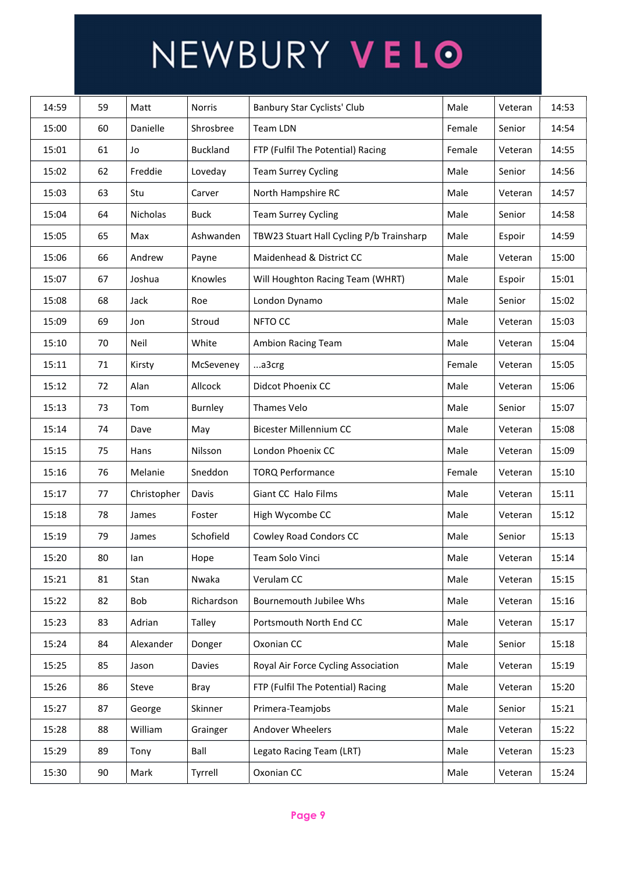| 14:59 | 59 | Matt        | <b>Norris</b>   | Banbury Star Cyclists' Club              | Male   | Veteran | 14:53 |
|-------|----|-------------|-----------------|------------------------------------------|--------|---------|-------|
| 15:00 | 60 | Danielle    | Shrosbree       | Team LDN                                 | Female | Senior  | 14:54 |
| 15:01 | 61 | Jo          | <b>Buckland</b> | FTP (Fulfil The Potential) Racing        | Female | Veteran | 14:55 |
| 15:02 | 62 | Freddie     | Loveday         | <b>Team Surrey Cycling</b>               | Male   | Senior  | 14:56 |
| 15:03 | 63 | Stu         | Carver          | North Hampshire RC                       | Male   | Veteran | 14:57 |
| 15:04 | 64 | Nicholas    | <b>Buck</b>     | <b>Team Surrey Cycling</b>               | Male   | Senior  | 14:58 |
| 15:05 | 65 | Max         | Ashwanden       | TBW23 Stuart Hall Cycling P/b Trainsharp | Male   | Espoir  | 14:59 |
| 15:06 | 66 | Andrew      | Payne           | Maidenhead & District CC                 | Male   | Veteran | 15:00 |
| 15:07 | 67 | Joshua      | Knowles         | Will Houghton Racing Team (WHRT)         | Male   | Espoir  | 15:01 |
| 15:08 | 68 | Jack        | Roe             | London Dynamo                            | Male   | Senior  | 15:02 |
| 15:09 | 69 | Jon         | Stroud          | NFTO CC                                  | Male   | Veteran | 15:03 |
| 15:10 | 70 | Neil        | White           | Ambion Racing Team                       | Male   | Veteran | 15:04 |
| 15:11 | 71 | Kirsty      | McSeveney       | a3crg                                    | Female | Veteran | 15:05 |
| 15:12 | 72 | Alan        | Allcock         | Didcot Phoenix CC                        | Male   | Veteran | 15:06 |
| 15:13 | 73 | Tom         | Burnley         | Thames Velo                              | Male   | Senior  | 15:07 |
| 15:14 | 74 | Dave        | May             | <b>Bicester Millennium CC</b>            | Male   | Veteran | 15:08 |
| 15:15 | 75 | Hans        | Nilsson         | London Phoenix CC                        | Male   | Veteran | 15:09 |
| 15:16 | 76 | Melanie     | Sneddon         | <b>TORQ Performance</b>                  | Female | Veteran | 15:10 |
| 15:17 | 77 | Christopher | Davis           | Giant CC Halo Films                      | Male   | Veteran | 15:11 |
| 15:18 | 78 | James       | Foster          | High Wycombe CC                          | Male   | Veteran | 15:12 |
| 15:19 | 79 | James       | Schofield       | Cowley Road Condors CC                   | Male   | Senior  | 15:13 |
| 15:20 | 80 | lan         | Hope            | Team Solo Vinci                          | Male   | Veteran | 15:14 |
| 15:21 | 81 | Stan        | Nwaka           | Verulam CC                               | Male   | Veteran | 15:15 |
| 15:22 | 82 | Bob         | Richardson      | Bournemouth Jubilee Whs                  | Male   | Veteran | 15:16 |
| 15:23 | 83 | Adrian      | Talley          | Portsmouth North End CC                  | Male   | Veteran | 15:17 |
| 15:24 | 84 | Alexander   | Donger          | Oxonian CC                               | Male   | Senior  | 15:18 |
| 15:25 | 85 | Jason       | Davies          | Royal Air Force Cycling Association      | Male   | Veteran | 15:19 |
| 15:26 | 86 | Steve       | Bray            | FTP (Fulfil The Potential) Racing        | Male   | Veteran | 15:20 |
| 15:27 | 87 | George      | Skinner         | Primera-Teamjobs                         | Male   | Senior  | 15:21 |
| 15:28 | 88 | William     | Grainger        | Andover Wheelers                         | Male   | Veteran | 15:22 |
| 15:29 | 89 | Tony        | Ball            | Legato Racing Team (LRT)                 | Male   | Veteran | 15:23 |
| 15:30 | 90 | Mark        | Tyrrell         | Oxonian CC                               | Male   | Veteran | 15:24 |